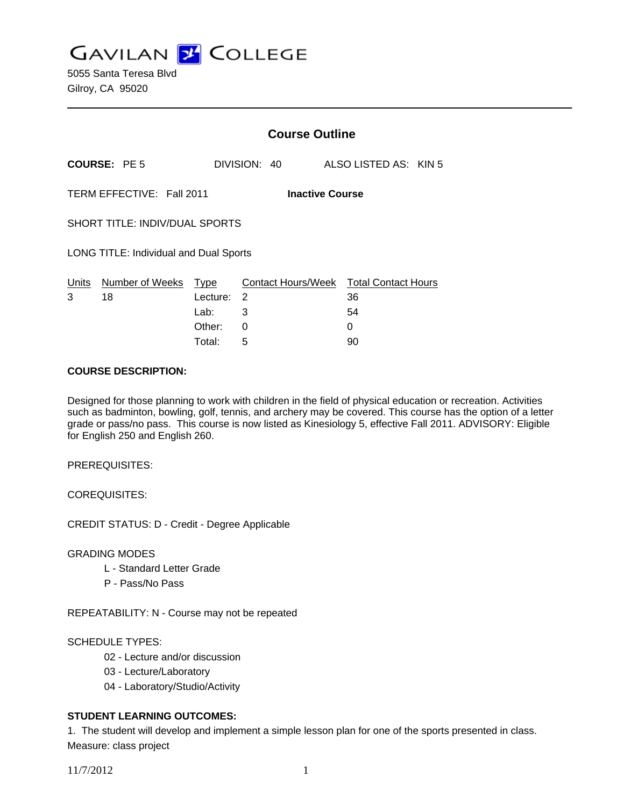**GAVILAN J COLLEGE** 

|                                                     |                       |                                    | <b>Course Outline</b>                                 |  |                       |  |  |
|-----------------------------------------------------|-----------------------|------------------------------------|-------------------------------------------------------|--|-----------------------|--|--|
|                                                     | <b>COURSE: PE 5</b>   |                                    | DIVISION: 40                                          |  | ALSO LISTED AS: KIN 5 |  |  |
| TERM EFFECTIVE: Fall 2011<br><b>Inactive Course</b> |                       |                                    |                                                       |  |                       |  |  |
| SHORT TITLE: INDIV/DUAL SPORTS                      |                       |                                    |                                                       |  |                       |  |  |
| LONG TITLE: Individual and Dual Sports              |                       |                                    |                                                       |  |                       |  |  |
| Units<br>3                                          | Number of Weeks<br>18 | Type<br>Lecture:<br>Lab:<br>Other: | Contact Hours/Week Total Contact Hours<br>2<br>3<br>0 |  | 36<br>54<br>0         |  |  |
|                                                     |                       |                                    |                                                       |  |                       |  |  |

Total: 5 90

#### **COURSE DESCRIPTION:**

Designed for those planning to work with children in the field of physical education or recreation. Activities such as badminton, bowling, golf, tennis, and archery may be covered. This course has the option of a letter grade or pass/no pass. This course is now listed as Kinesiology 5, effective Fall 2011. ADVISORY: Eligible for English 250 and English 260.

PREREQUISITES:

COREQUISITES:

CREDIT STATUS: D - Credit - Degree Applicable

GRADING MODES

- L Standard Letter Grade
- P Pass/No Pass

REPEATABILITY: N - Course may not be repeated

SCHEDULE TYPES:

- 02 Lecture and/or discussion
- 03 Lecture/Laboratory
- 04 Laboratory/Studio/Activity

# **STUDENT LEARNING OUTCOMES:**

1. The student will develop and implement a simple lesson plan for one of the sports presented in class. Measure: class project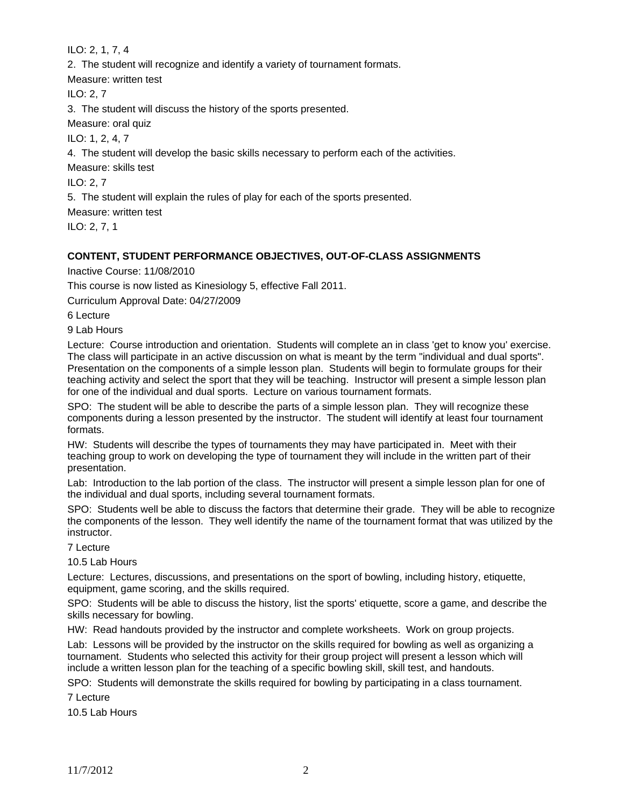ILO: 2, 1, 7, 4

2. The student will recognize and identify a variety of tournament formats.

Measure: written test

ILO: 2, 7

3. The student will discuss the history of the sports presented.

Measure: oral quiz

ILO: 1, 2, 4, 7

4. The student will develop the basic skills necessary to perform each of the activities.

Measure: skills test

ILO: 2, 7

5. The student will explain the rules of play for each of the sports presented.

Measure: written test

ILO: 2, 7, 1

## **CONTENT, STUDENT PERFORMANCE OBJECTIVES, OUT-OF-CLASS ASSIGNMENTS**

Inactive Course: 11/08/2010

This course is now listed as Kinesiology 5, effective Fall 2011.

Curriculum Approval Date: 04/27/2009

6 Lecture

9 Lab Hours

Lecture: Course introduction and orientation. Students will complete an in class 'get to know you' exercise. The class will participate in an active discussion on what is meant by the term "individual and dual sports". Presentation on the components of a simple lesson plan. Students will begin to formulate groups for their teaching activity and select the sport that they will be teaching. Instructor will present a simple lesson plan for one of the individual and dual sports. Lecture on various tournament formats.

SPO: The student will be able to describe the parts of a simple lesson plan. They will recognize these components during a lesson presented by the instructor. The student will identify at least four tournament formats.

HW: Students will describe the types of tournaments they may have participated in. Meet with their teaching group to work on developing the type of tournament they will include in the written part of their presentation.

Lab: Introduction to the lab portion of the class. The instructor will present a simple lesson plan for one of the individual and dual sports, including several tournament formats.

SPO: Students well be able to discuss the factors that determine their grade. They will be able to recognize the components of the lesson. They well identify the name of the tournament format that was utilized by the instructor.

7 Lecture

10.5 Lab Hours

Lecture: Lectures, discussions, and presentations on the sport of bowling, including history, etiquette, equipment, game scoring, and the skills required.

SPO: Students will be able to discuss the history, list the sports' etiquette, score a game, and describe the skills necessary for bowling.

HW: Read handouts provided by the instructor and complete worksheets. Work on group projects.

Lab: Lessons will be provided by the instructor on the skills required for bowling as well as organizing a tournament. Students who selected this activity for their group project will present a lesson which will include a written lesson plan for the teaching of a specific bowling skill, skill test, and handouts.

SPO: Students will demonstrate the skills required for bowling by participating in a class tournament.

7 Lecture

10.5 Lab Hours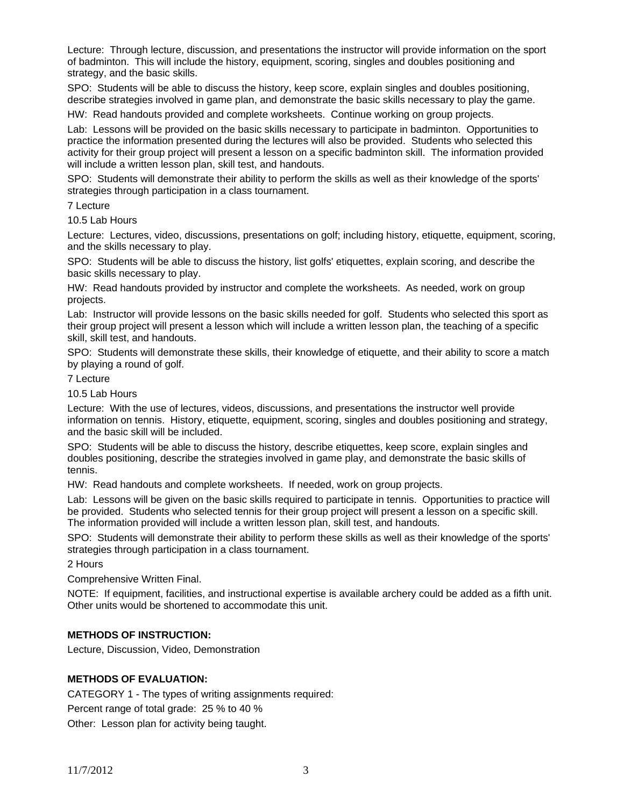Lecture: Through lecture, discussion, and presentations the instructor will provide information on the sport of badminton. This will include the history, equipment, scoring, singles and doubles positioning and strategy, and the basic skills.

SPO: Students will be able to discuss the history, keep score, explain singles and doubles positioning, describe strategies involved in game plan, and demonstrate the basic skills necessary to play the game.

HW: Read handouts provided and complete worksheets. Continue working on group projects.

Lab: Lessons will be provided on the basic skills necessary to participate in badminton. Opportunities to practice the information presented during the lectures will also be provided. Students who selected this activity for their group project will present a lesson on a specific badminton skill. The information provided will include a written lesson plan, skill test, and handouts.

SPO: Students will demonstrate their ability to perform the skills as well as their knowledge of the sports' strategies through participation in a class tournament.

7 Lecture

10.5 Lab Hours

Lecture: Lectures, video, discussions, presentations on golf; including history, etiquette, equipment, scoring, and the skills necessary to play.

SPO: Students will be able to discuss the history, list golfs' etiquettes, explain scoring, and describe the basic skills necessary to play.

HW: Read handouts provided by instructor and complete the worksheets. As needed, work on group projects.

Lab: Instructor will provide lessons on the basic skills needed for golf. Students who selected this sport as their group project will present a lesson which will include a written lesson plan, the teaching of a specific skill, skill test, and handouts.

SPO: Students will demonstrate these skills, their knowledge of etiquette, and their ability to score a match by playing a round of golf.

7 Lecture

10.5 Lab Hours

Lecture: With the use of lectures, videos, discussions, and presentations the instructor well provide information on tennis. History, etiquette, equipment, scoring, singles and doubles positioning and strategy, and the basic skill will be included.

SPO: Students will be able to discuss the history, describe etiquettes, keep score, explain singles and doubles positioning, describe the strategies involved in game play, and demonstrate the basic skills of tennis.

HW: Read handouts and complete worksheets. If needed, work on group projects.

Lab: Lessons will be given on the basic skills required to participate in tennis. Opportunities to practice will be provided. Students who selected tennis for their group project will present a lesson on a specific skill. The information provided will include a written lesson plan, skill test, and handouts.

SPO: Students will demonstrate their ability to perform these skills as well as their knowledge of the sports' strategies through participation in a class tournament.

2 Hours

Comprehensive Written Final.

NOTE: If equipment, facilities, and instructional expertise is available archery could be added as a fifth unit. Other units would be shortened to accommodate this unit.

## **METHODS OF INSTRUCTION:**

Lecture, Discussion, Video, Demonstration

## **METHODS OF EVALUATION:**

CATEGORY 1 - The types of writing assignments required:

Percent range of total grade: 25 % to 40 %

Other: Lesson plan for activity being taught.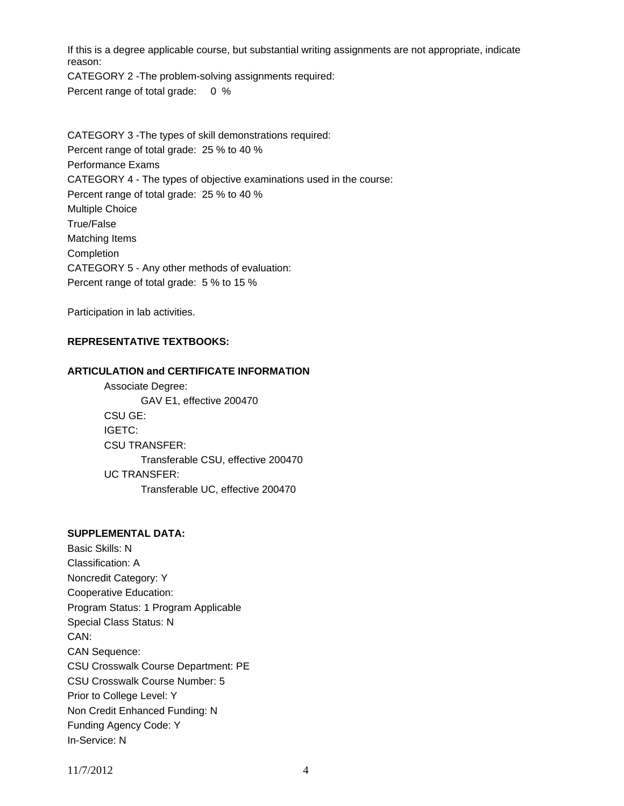If this is a degree applicable course, but substantial writing assignments are not appropriate, indicate reason:

CATEGORY 2 -The problem-solving assignments required: Percent range of total grade: 0 %

CATEGORY 3 -The types of skill demonstrations required: Percent range of total grade: 25 % to 40 % Performance Exams CATEGORY 4 - The types of objective examinations used in the course: Percent range of total grade: 25 % to 40 % Multiple Choice True/False Matching Items Completion CATEGORY 5 - Any other methods of evaluation: Percent range of total grade: 5 % to 15 %

Participation in lab activities.

## **REPRESENTATIVE TEXTBOOKS:**

#### **ARTICULATION and CERTIFICATE INFORMATION**

 Associate Degree: GAV E1, effective 200470 CSU GE: IGETC: CSU TRANSFER: Transferable CSU, effective 200470 UC TRANSFER: Transferable UC, effective 200470

# **SUPPLEMENTAL DATA:**

Basic Skills: N Classification: A Noncredit Category: Y Cooperative Education: Program Status: 1 Program Applicable Special Class Status: N CAN: CAN Sequence: CSU Crosswalk Course Department: PE CSU Crosswalk Course Number: 5 Prior to College Level: Y Non Credit Enhanced Funding: N Funding Agency Code: Y In-Service: N